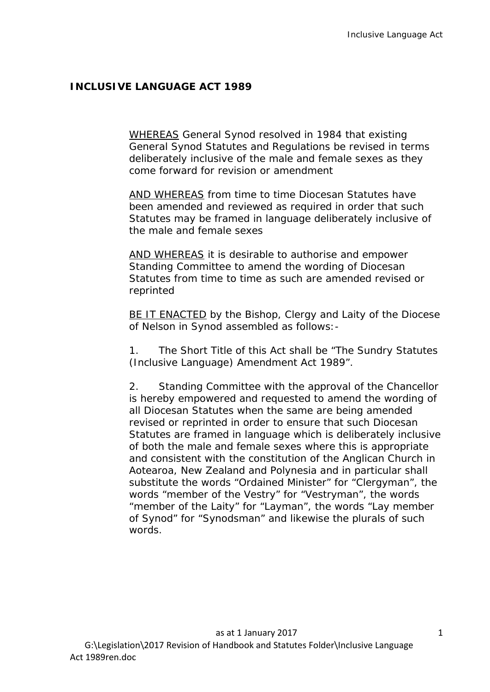## **INCLUSIVE LANGUAGE ACT 1989**

WHEREAS General Synod resolved in 1984 that existing General Synod Statutes and Regulations be revised in terms deliberately inclusive of the male and female sexes as they come forward for revision or amendment

AND WHEREAS from time to time Diocesan Statutes have been amended and reviewed as required in order that such Statutes may be framed in language deliberately inclusive of the male and female sexes

AND WHEREAS it is desirable to authorise and empower Standing Committee to amend the wording of Diocesan Statutes from time to time as such are amended revised or reprinted

BE IT ENACTED by the Bishop, Clergy and Laity of the Diocese of Nelson in Synod assembled as follows:-

1. The Short Title of this Act shall be "The Sundry Statutes (Inclusive Language) Amendment Act 1989".

2. Standing Committee with the approval of the Chancellor is hereby empowered and requested to amend the wording of all Diocesan Statutes when the same are being amended revised or reprinted in order to ensure that such Diocesan Statutes are framed in language which is deliberately inclusive of both the male and female sexes where this is appropriate and consistent with the constitution of the Anglican Church in Aotearoa, New Zealand and Polynesia and in particular shall substitute the words "Ordained Minister" for "Clergyman", the words "member of the Vestry" for "Vestryman", the words "member of the Laity" for "Layman", the words "Lay member of Synod" for "Synodsman" and likewise the plurals of such words.